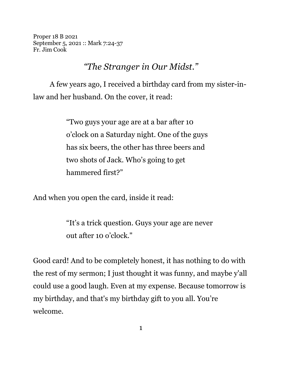Proper 18 B 2021 September 5, 2021 :: Mark 7:24-37 Fr. Jim Cook

## *"The Stranger in Our Midst."*

A few years ago, I received a birthday card from my sister-inlaw and her husband. On the cover, it read:

> "Two guys your age are at a bar after 10 o'clock on a Saturday night. One of the guys has six beers, the other has three beers and two shots of Jack. Who's going to get hammered first?"

And when you open the card, inside it read:

"It's a trick question. Guys your age are never out after 10 o'clock."

Good card! And to be completely honest, it has nothing to do with the rest of my sermon; I just thought it was funny, and maybe y'all could use a good laugh. Even at my expense. Because tomorrow is my birthday, and that's my birthday gift to you all. You're welcome.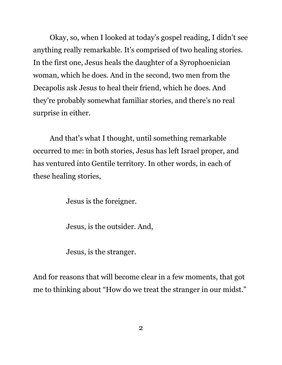Okay, so, when I looked at today's gospel reading, I didn't see anything really remarkable. It's comprised of two healing stories. In the first one, Jesus heals the daughter of a Syrophoenician woman, which he does. And in the second, two men from the Decapolis ask Jesus to heal their friend, which he does. And they're probably somewhat familiar stories, and there's no real surprise in either.

And that's what I thought, until something remarkable occurred to me: in both stories, Jesus has left Israel proper, and has ventured into Gentile territory. In other words, in each of these healing stories,

Jesus is the foreigner.

Jesus, is the outsider. And,

Jesus, is the stranger.

And for reasons that will become clear in a few moments, that got me to thinking about "How do we treat the stranger in our midst."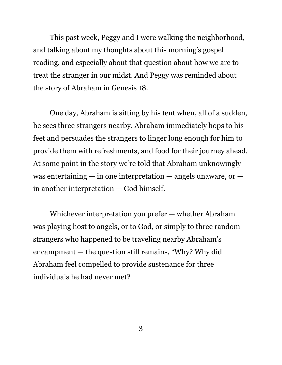This past week, Peggy and I were walking the neighborhood, and talking about my thoughts about this morning's gospel reading, and especially about that question about how we are to treat the stranger in our midst. And Peggy was reminded about the story of Abraham in Genesis 18.

One day, Abraham is sitting by his tent when, all of a sudden, he sees three strangers nearby. Abraham immediately hops to his feet and persuades the strangers to linger long enough for him to provide them with refreshments, and food for their journey ahead. At some point in the story we're told that Abraham unknowingly was entertaining  $-$  in one interpretation  $-$  angels unaware, or  $$ in another interpretation — God himself.

Whichever interpretation you prefer — whether Abraham was playing host to angels, or to God, or simply to three random strangers who happened to be traveling nearby Abraham's encampment — the question still remains, "Why? Why did Abraham feel compelled to provide sustenance for three individuals he had never met?

3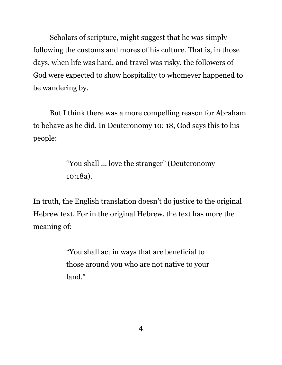Scholars of scripture, might suggest that he was simply following the customs and mores of his culture. That is, in those days, when life was hard, and travel was risky, the followers of God were expected to show hospitality to whomever happened to be wandering by.

But I think there was a more compelling reason for Abraham to behave as he did. In Deuteronomy 10: 18, God says this to his people:

> "You shall ... love the stranger" (Deuteronomy 10:18a).

In truth, the English translation doesn't do justice to the original Hebrew text. For in the original Hebrew, the text has more the meaning of:

> "You shall act in ways that are beneficial to those around you who are not native to your land."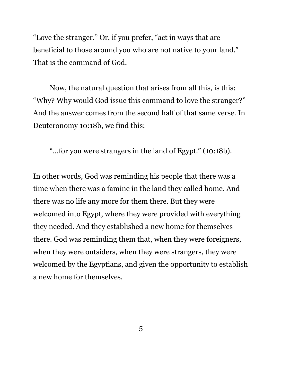"Love the stranger." Or, if you prefer, "act in ways that are beneficial to those around you who are not native to your land." That is the command of God.

Now, the natural question that arises from all this, is this: "Why? Why would God issue this command to love the stranger?" And the answer comes from the second half of that same verse. In Deuteronomy 10:18b, we find this:

"...for you were strangers in the land of Egypt." (10:18b).

In other words, God was reminding his people that there was a time when there was a famine in the land they called home. And there was no life any more for them there. But they were welcomed into Egypt, where they were provided with everything they needed. And they established a new home for themselves there. God was reminding them that, when they were foreigners, when they were outsiders, when they were strangers, they were welcomed by the Egyptians, and given the opportunity to establish a new home for themselves.

5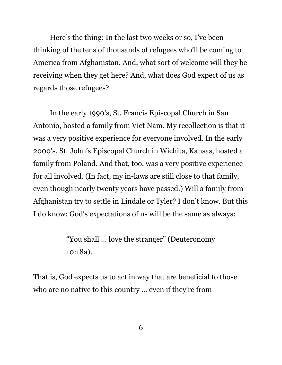Here's the thing: In the last two weeks or so, I've been thinking of the tens of thousands of refugees who'll be coming to America from Afghanistan. And, what sort of welcome will they be receiving when they get here? And, what does God expect of us as regards those refugees?

In the early 1990's, St. Francis Episcopal Church in San Antonio, hosted a family from Viet Nam. My recollection is that it was a very positive experience for everyone involved. In the early 2000's, St. John's Episcopal Church in Wichita, Kansas, hosted a family from Poland. And that, too, was a very positive experience for all involved. (In fact, my in-laws are still close to that family, even though nearly twenty years have passed.) Will a family from Afghanistan try to settle in Lindale or Tyler? I don't know. But this I do know: God's expectations of us will be the same as always:

> "You shall ... love the stranger" (Deuteronomy 10:18a).

That is, God expects us to act in way that are beneficial to those who are no native to this country ... even if they're from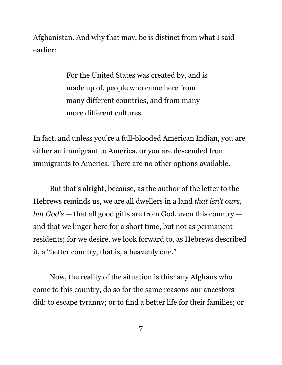Afghanistan. And why that may, be is distinct from what I said earlier:

> For the United States was created by, and is made up of, people who came here from many different countries, and from many more different cultures.

In fact, and unless you're a full-blooded American Indian, you are either an immigrant to America, or you are descended from immigrants to America. There are no other options available.

But that's alright, because, as the author of the letter to the Hebrews reminds us, we are all dwellers in a land *that isn't ours, but God's* — that all good gifts are from God, even this country and that we linger here for a short time, but not as permanent residents; for we desire, we look forward to, as Hebrews described it, a "better country, that is, a heavenly one."

Now, the reality of the situation is this: any Afghans who come to this country, do so for the same reasons our ancestors did: to escape tyranny; or to find a better life for their families; or